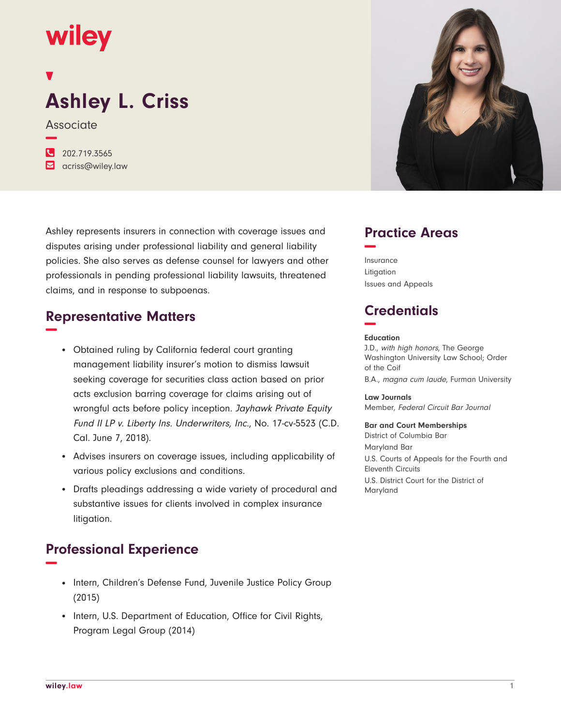## **wiley**

# **Ashley L. Criss**

**Associate** 

**−**

**�** 202.719.3565 **�** acriss@wiley.law

Ashley represents insurers in connection with coverage issues and disputes arising under professional liability and general liability policies. She also serves as defense counsel for lawyers and other professionals in pending professional liability lawsuits, threatened claims, and in response to subpoenas.

#### **Representative Matters −**

- Obtained ruling by California federal court granting management liability insurer's motion to dismiss lawsuit seeking coverage for securities class action based on prior acts exclusion barring coverage for claims arising out of wrongful acts before policy inception. Jayhawk Private Equity Fund II LP v. Liberty Ins. Underwriters, Inc., No. 17-cv-5523 (C.D. Cal. June 7, 2018).
- Advises insurers on coverage issues, including applicability of various policy exclusions and conditions.
- Drafts pleadings addressing a wide variety of procedural and substantive issues for clients involved in complex insurance litigation.

### **Professional Experience −**

- Intern, Children's Defense Fund, Juvenile Justice Policy Group (2015)
- Intern, U.S. Department of Education, Office for Civil Rights, Program Legal Group (2014)



#### **Practice Areas −**

Insurance Litigation Issues and Appeals

## **Credentials −**

#### **Education**

J.D., with high honors, The George Washington University Law School; Order of the Coif B.A., magna cum laude, Furman University

**Law Journals** Member, Federal Circuit Bar Journal

#### **Bar and Court Memberships**

District of Columbia Bar Maryland Bar U.S. Courts of Appeals for the Fourth and Eleventh Circuits U.S. District Court for the District of Maryland